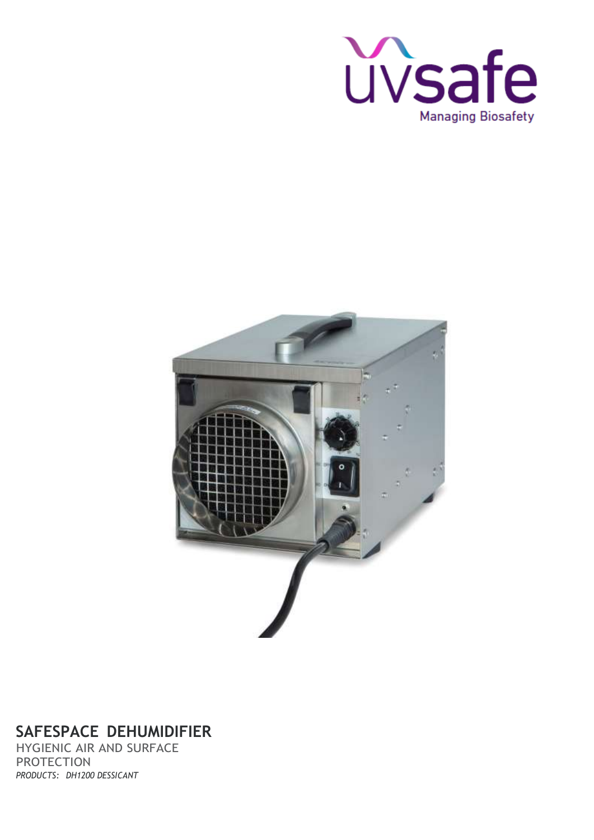



## **SAFESPACE DEHUMIDIFIER**

HYGIENIC AIR AND SURFACE PROTECTION *PRODUCTS: DH1200 DESSICANT*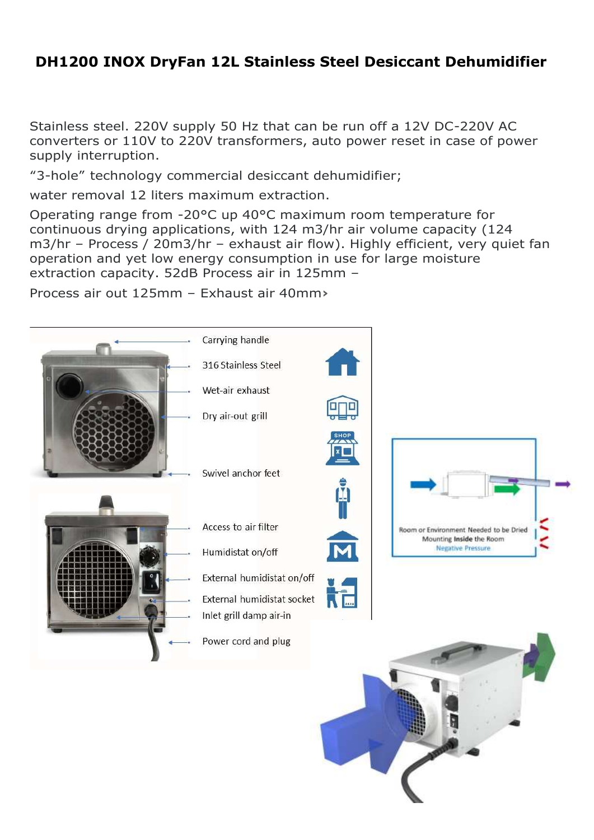## **DH1200 INOX DryFan 12L Stainless Steel Desiccant Dehumidifier**

Stainless steel. 220V supply 50 Hz that can be run off a 12V DC-220V AC converters or 110V to 220V transformers, auto power reset in case of power supply interruption.

"3-hole" technology commercial desiccant dehumidifier;

water removal 12 liters maximum extraction.

Operating range from -20°C up 40°C maximum room temperature for continuous drying applications, with 124 m3/hr air volume capacity (124 m3/hr – Process / 20m3/hr – exhaust air flow). Highly efficient, very quiet fan operation and yet low energy consumption in use for large moisture extraction capacity. 52dB Process air in 125mm –

Process air out 125mm – Exhaust air 40mm**›**